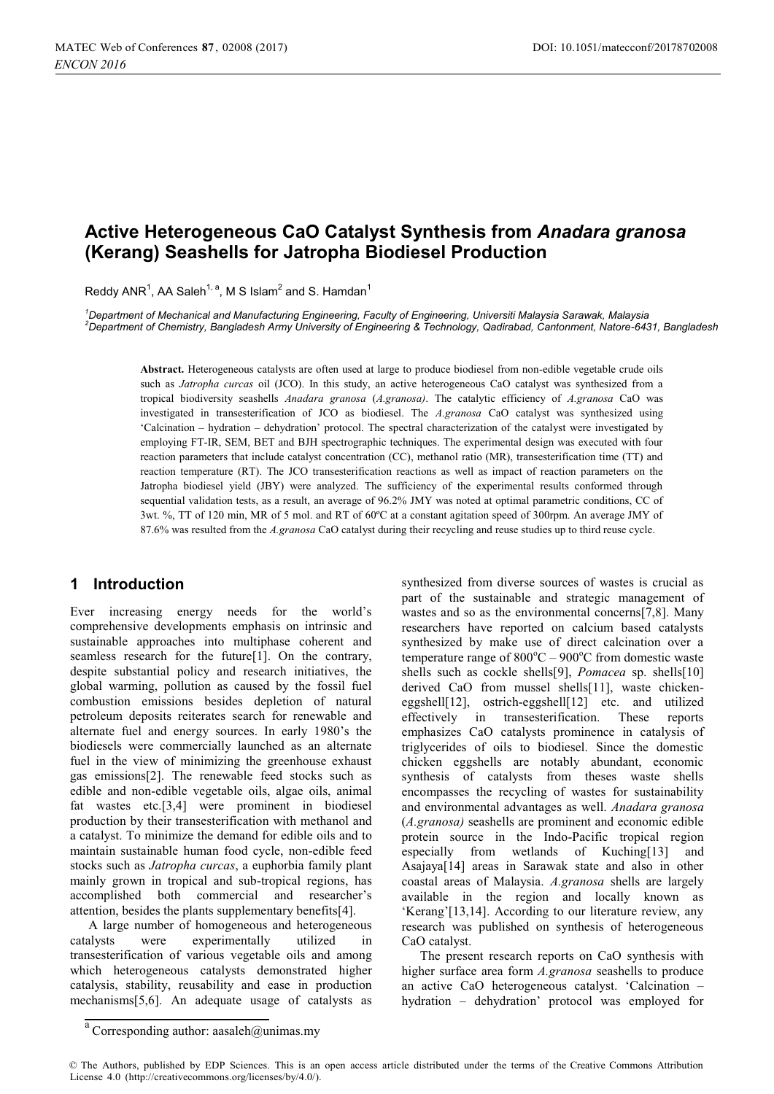# **Active Heterogeneous CaO Catalyst Synthesis from** *Anadara granosa* **(Kerang) Seashells for Jatropha Biodiesel Production**

Reddy ANR<sup>1</sup>, AA Saleh<sup>1, a</sup>, M S Islam<sup>2</sup> and S. Hamdan<sup>1</sup>

*1 Department of Mechanical and Manufacturing Engineering, Faculty of Engineering, Universiti Malaysia Sarawak, Malaysia 2 Department of Chemistry, Bangladesh Army University of Engineering & Technology, Qadirabad, Cantonment, Natore-6431, Bangladesh*

**Abstract.** Heterogeneous catalysts are often used at large to produce biodiesel from non-edible vegetable crude oils such as *Jatropha curcas* oil (JCO). In this study, an active heterogeneous CaO catalyst was synthesized from a tropical biodiversity seashells *Anadara granosa* (*A.granosa)*. The catalytic efficiency of *A.granosa* CaO was investigated in transesterification of JCO as biodiesel. The *A.granosa* CaO catalyst was synthesized using 'Calcination – hydration – dehydration' protocol. The spectral characterization of the catalyst were investigated by employing FT-IR, SEM, BET and BJH spectrographic techniques. The experimental design was executed with four reaction parameters that include catalyst concentration (CC), methanol ratio (MR), transesterification time (TT) and reaction temperature (RT). The JCO transesterification reactions as well as impact of reaction parameters on the Jatropha biodiesel yield (JBY) were analyzed. The sufficiency of the experimental results conformed through sequential validation tests, as a result, an average of 96.2% JMY was noted at optimal parametric conditions, CC of 3wt. %, TT of 120 min, MR of 5 mol. and RT of 60ºC at a constant agitation speed of 300rpm. An average JMY of 87.6% was resulted from the *A.granosa* CaO catalyst during their recycling and reuse studies up to third reuse cycle.

### **1 Introduction**

Ever increasing energy needs for the world's comprehensive developments emphasis on intrinsic and sustainable approaches into multiphase coherent and seamless research for the future[1]. On the contrary, despite substantial policy and research initiatives, the global warming, pollution as caused by the fossil fuel combustion emissions besides depletion of natural petroleum deposits reiterates search for renewable and alternate fuel and energy sources. In early 1980's the biodiesels were commercially launched as an alternate fuel in the view of minimizing the greenhouse exhaust gas emissions[2]. The renewable feed stocks such as edible and non-edible vegetable oils, algae oils, animal fat wastes etc.[3,4] were prominent in biodiesel production by their transesterification with methanol and a catalyst. To minimize the demand for edible oils and to maintain sustainable human food cycle, non-edible feed stocks such as *Jatropha curcas*, a euphorbia family plant mainly grown in tropical and sub-tropical regions, has accomplished both commercial and researcher's attention, besides the plants supplementary benefits[4].

A large number of homogeneous and heterogeneous catalysts were experimentally utilized in transesterification of various vegetable oils and among which heterogeneous catalysts demonstrated higher catalysis, stability, reusability and ease in production mechanisms[5,6]. An adequate usage of catalysts as

synthesized from diverse sources of wastes is crucial as part of the sustainable and strategic management of wastes and so as the environmental concerns[7,8]. Many researchers have reported on calcium based catalysts synthesized by make use of direct calcination over a temperature range of  $800^{\circ}$ C –  $900^{\circ}$ C from domestic waste shells such as cockle shells[9], *Pomacea* sp. shells[10] derived CaO from mussel shells[11], waste chickeneggshell[12], ostrich-eggshell[12] etc. and utilized effectively in transesterification. These reports emphasizes CaO catalysts prominence in catalysis of triglycerides of oils to biodiesel. Since the domestic chicken eggshells are notably abundant, economic synthesis of catalysts from theses waste shells encompasses the recycling of wastes for sustainability and environmental advantages as well. *Anadara granosa* (*A.granosa)* seashells are prominent and economic edible protein source in the Indo-Pacific tropical region especially from wetlands of Kuching[13] and Asajaya[14] areas in Sarawak state and also in other coastal areas of Malaysia. *A.granosa* shells are largely available in the region and locally known as 'Kerang'[13,14]. According to our literature review, any research was published on synthesis of heterogeneous CaO catalyst.

The present research reports on CaO synthesis with higher surface area form *A.granosa* seashells to produce an active CaO heterogeneous catalyst. 'Calcination – hydration – dehydration' protocol was employed for

 $a^{a}$  Corresponding author: aasaleh@unimas.my

<sup>©</sup> The Authors, published by EDP Sciences. This is an open access article distributed under the terms of the Creative Commons Attribution License 4.0 (http://creativecommons.org/licenses/by/4.0/).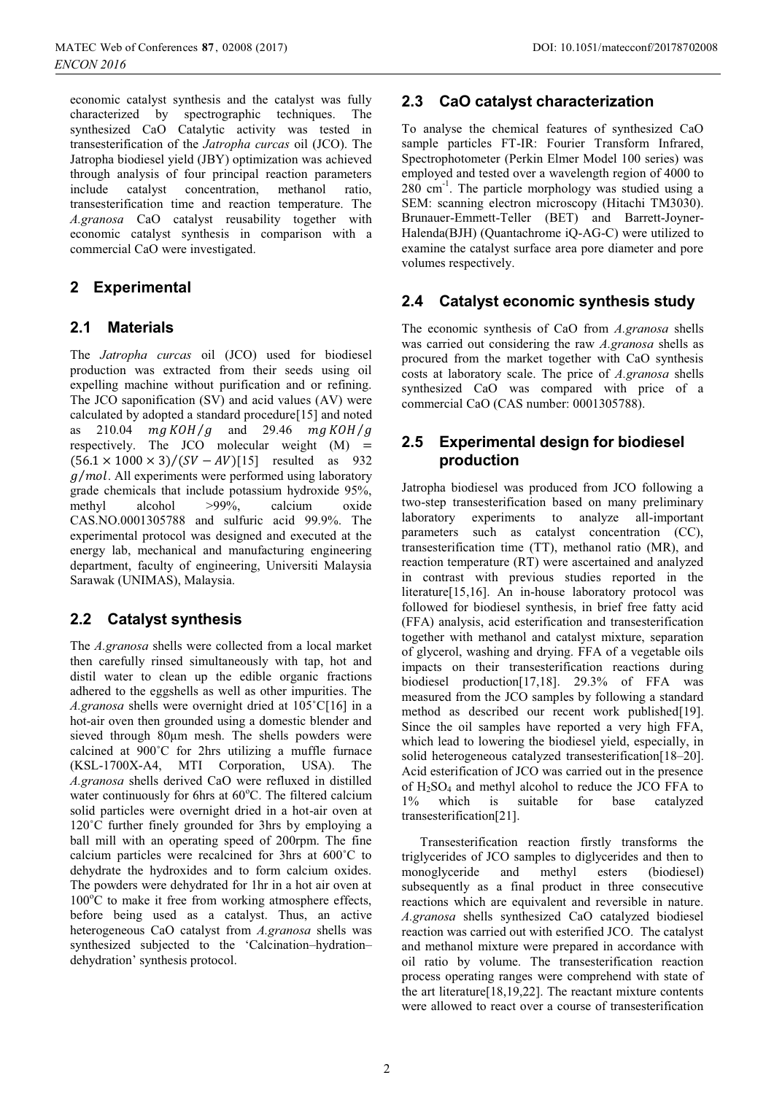economic catalyst synthesis and the catalyst was fully characterized by spectrographic techniques. The synthesized CaO Catalytic activity was tested in transesterification of the *Jatropha curcas* oil (JCO). The Jatropha biodiesel yield (JBY) optimization was achieved through analysis of four principal reaction parameters include catalyst concentration, methanol ratio, transesterification time and reaction temperature. The *A.granosa* CaO catalyst reusability together with economic catalyst synthesis in comparison with a commercial CaO were investigated.

## **2 Experimental**

## **2.1 Materials**

The *Jatropha curcas* oil (JCO) used for biodiesel production was extracted from their seeds using oil expelling machine without purification and or refining. The JCO saponification (SV) and acid values (AV) were calculated by adopted a standard procedure[15] and noted as 210.04  $mg KOH/g$  and 29.46  $mg KOH/g$ respectively. The JCO molecular weight (M) =  $(56.1 \times 1000 \times 3)/(SV - AV)[15]$  resulted as 932  $g/mol$ . All experiments were performed using laboratory grade chemicals that include potassium hydroxide 95%,<br>methyl alcohol >99%, calcium oxide methyl alcohol >99%, calcium oxide CAS.NO.0001305788 and sulfuric acid 99.9%. The experimental protocol was designed and executed at the energy lab, mechanical and manufacturing engineering department, faculty of engineering, Universiti Malaysia Sarawak (UNIMAS), Malaysia.

## **2.2 Catalyst synthesis**

The *A.granosa* shells were collected from a local market then carefully rinsed simultaneously with tap, hot and distil water to clean up the edible organic fractions adhered to the eggshells as well as other impurities. The *A.granosa* shells were overnight dried at 105˚C[16] in a hot-air oven then grounded using a domestic blender and sieved through 80μm mesh. The shells powders were calcined at 900˚C for 2hrs utilizing a muffle furnace (KSL-1700X-A4, MTI Corporation, USA). The *A.granosa* shells derived CaO were refluxed in distilled water continuously for 6hrs at 60°C. The filtered calcium solid particles were overnight dried in a hot-air oven at 120°C further finely grounded for 3hrs by employing a ball mill with an operating speed of 200rpm. The fine calcium particles were recalcined for 3hrs at 600˚C to dehydrate the hydroxides and to form calcium oxides. The powders were dehydrated for 1hr in a hot air oven at 100°C to make it free from working atmosphere effects, before being used as a catalyst. Thus, an active heterogeneous CaO catalyst from *A.granosa* shells was synthesized subjected to the 'Calcination–hydration– dehydration' synthesis protocol.

## **2.3 CaO catalyst characterization**

To analyse the chemical features of synthesized CaO sample particles FT-IR: Fourier Transform Infrared, Spectrophotometer (Perkin Elmer Model 100 series) was employed and tested over a wavelength region of 4000 to 280 cm-1. The particle morphology was studied using a SEM: scanning electron microscopy (Hitachi TM3030). Brunauer-Emmett-Teller (BET) and Barrett-Joyner-Halenda(BJH) (Quantachrome iQ-AG-C) were utilized to examine the catalyst surface area pore diameter and pore volumes respectively.

## **2.4 Catalyst economic synthesis study**

The economic synthesis of CaO from *A.granosa* shells was carried out considering the raw *A.granosa* shells as procured from the market together with CaO synthesis costs at laboratory scale. The price of *A.granosa* shells synthesized CaO was compared with price of a commercial CaO (CAS number: 0001305788).

### **2.5 Experimental design for biodiesel production**

Jatropha biodiesel was produced from JCO following a two-step transesterification based on many preliminary laboratory experiments to analyze all-important parameters such as catalyst concentration (CC), transesterification time (TT), methanol ratio (MR), and reaction temperature (RT) were ascertained and analyzed in contrast with previous studies reported in the literature[15,16]. An in-house laboratory protocol was followed for biodiesel synthesis, in brief free fatty acid (FFA) analysis, acid esterification and transesterification together with methanol and catalyst mixture, separation of glycerol, washing and drying. FFA of a vegetable oils impacts on their transesterification reactions during biodiesel production[17,18]. 29.3% of FFA was measured from the JCO samples by following a standard method as described our recent work published[19]. Since the oil samples have reported a very high FFA, which lead to lowering the biodiesel yield, especially, in solid heterogeneous catalyzed transesterification[18–20]. Acid esterification of JCO was carried out in the presence of  $H_2SO_4$  and methyl alcohol to reduce the JCO FFA to 1% which is suitable for base catalyzed transesterification[21].

Transesterification reaction firstly transforms the triglycerides of JCO samples to diglycerides and then to monoglyceride and methyl esters (biodiesel) subsequently as a final product in three consecutive reactions which are equivalent and reversible in nature. *A.granosa* shells synthesized CaO catalyzed biodiesel reaction was carried out with esterified JCO. The catalyst and methanol mixture were prepared in accordance with oil ratio by volume. The transesterification reaction process operating ranges were comprehend with state of the art literature[18,19,22]. The reactant mixture contents were allowed to react over a course of transesterification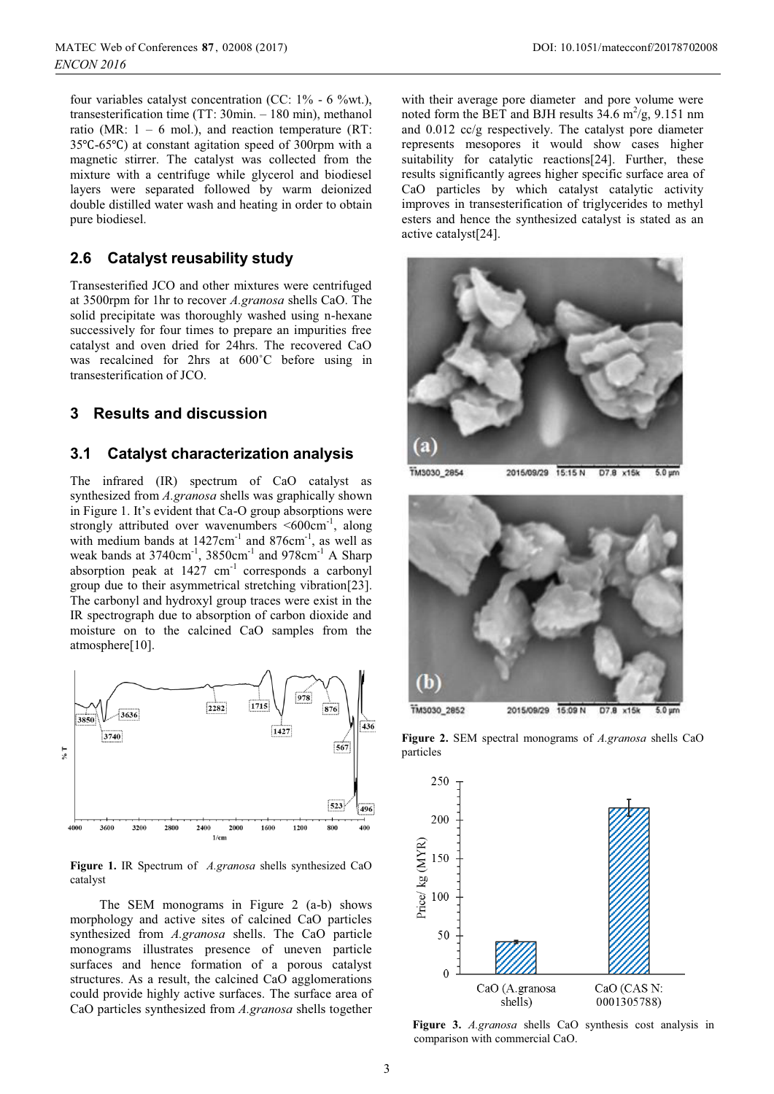four variables catalyst concentration (CC: 1% - 6 %wt.), transesterification time (TT: 30min. – 180 min), methanol ratio (MR:  $1 - 6$  mol.), and reaction temperature (RT: 35℃-65℃) at constant agitation speed of 300rpm with a magnetic stirrer. The catalyst was collected from the mixture with a centrifuge while glycerol and biodiesel layers were separated followed by warm deionized double distilled water wash and heating in order to obtain pure biodiesel.

### **2.6 Catalyst reusability study**

Transesterified JCO and other mixtures were centrifuged at 3500rpm for 1hr to recover *A.granosa* shells CaO. The solid precipitate was thoroughly washed using n-hexane successively for four times to prepare an impurities free catalyst and oven dried for 24hrs. The recovered CaO was recalcined for 2hrs at 600˚C before using in transesterification of JCO.

### **3 Results and discussion**

#### **3.1 Catalyst characterization analysis**

The infrared (IR) spectrum of CaO catalyst as synthesized from *A.granosa* shells was graphically shown in Figure 1. It's evident that Ca-O group absorptions were strongly attributed over wavenumbers  $\leq 600 \text{cm}^{-1}$ , along with medium bands at  $1427 \text{cm}^{-1}$  and  $876 \text{cm}^{-1}$ , as well as weak bands at 3740cm<sup>-1</sup>, 3850cm<sup>-1</sup> and 978cm<sup>-1</sup> A Sharp absorption peak at  $1427 \text{ cm}^{-1}$  corresponds a carbonyl group due to their asymmetrical stretching vibration[23]. The carbonyl and hydroxyl group traces were exist in the IR spectrograph due to absorption of carbon dioxide and moisture on to the calcined CaO samples from the atmosphere[10].



**Figure 1.** IR Spectrum of *A.granosa* shells synthesized CaO catalyst

The SEM monograms in Figure 2 (a-b) shows morphology and active sites of calcined CaO particles synthesized from *A.granosa* shells. The CaO particle monograms illustrates presence of uneven particle surfaces and hence formation of a porous catalyst structures. As a result, the calcined CaO agglomerations could provide highly active surfaces. The surface area of CaO particles synthesized from *A.granosa* shells together

with their average pore diameter and pore volume were noted form the BET and BJH results  $34.6 \text{ m}^2/\text{g}$ ,  $9.151 \text{ nm}$ and 0.012 cc/g respectively. The catalyst pore diameter represents mesopores it would show cases higher suitability for catalytic reactions[24]. Further, these results significantly agrees higher specific surface area of CaO particles by which catalyst catalytic activity improves in transesterification of triglycerides to methyl esters and hence the synthesized catalyst is stated as an active catalyst[24].



TM3030 2854 2015/09/29 15:15 N D7.8 x15k 5.0 um



**Figure 2.** SEM spectral monograms of *A.granosa* shells CaO particles



**Figure 3.** *A.granosa* shells CaO synthesis cost analysis in comparison with commercial CaO.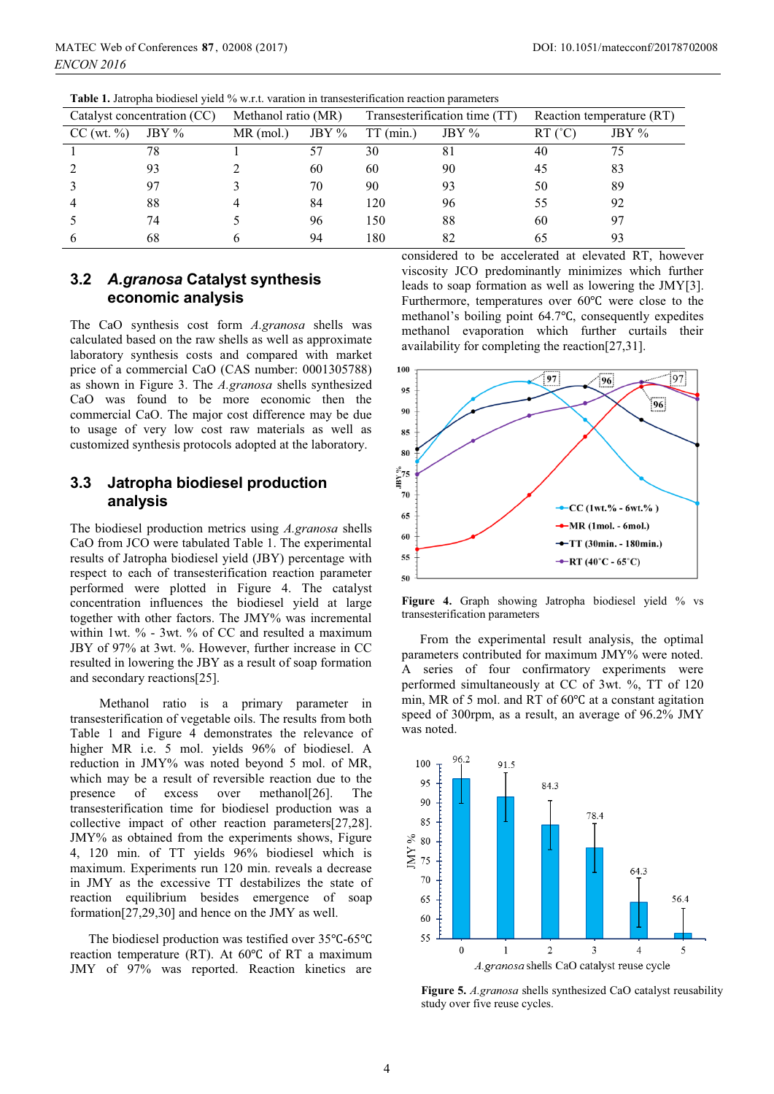| Catalyst concentration (CC) |         | Methanol ratio (MR) |         | Transesterification time (TT) |          | Reaction temperature (RT) |          |
|-----------------------------|---------|---------------------|---------|-------------------------------|----------|---------------------------|----------|
| CC (wt. %)                  | JBY $%$ | $MR$ (mol.)         | JBY $%$ | $TT$ (min.)                   | JBY $\%$ | $RT$ ( $°C$ )             | JBY $\%$ |
|                             | 78      |                     | 57      | 30                            | 81       | 40                        | 75       |
|                             | 93      |                     | 60      | 60                            | 90       | 45                        | 83       |
|                             | 97      |                     | 70      | 90                            | 93       | 50                        | 89       |
|                             | 88      | 4                   | 84      | 120                           | 96       | 55                        | 92       |
|                             | 74      |                     | 96      | 150                           | 88       | 60                        | 97       |
|                             | 68      | h                   | 94      | l 80                          | 82       | 65                        | 93       |

**Table 1.** Jatropha biodiesel yield % w.r.t. varation in transesterification reaction parameters

### **3.2** *A.granosa* **Catalyst synthesis economic analysis**

The CaO synthesis cost form *A.granosa* shells was calculated based on the raw shells as well as approximate laboratory synthesis costs and compared with market price of a commercial CaO (CAS number: 0001305788) as shown in Figure 3. The *A.granosa* shells synthesized CaO was found to be more economic then the commercial CaO. The major cost difference may be due to usage of very low cost raw materials as well as customized synthesis protocols adopted at the laboratory.

### **3.3 Jatropha biodiesel production analysis**

The biodiesel production metrics using *A.granosa* shells CaO from JCO were tabulated Table 1. The experimental results of Jatropha biodiesel yield (JBY) percentage with respect to each of transesterification reaction parameter performed were plotted in Figure 4. The catalyst concentration influences the biodiesel yield at large together with other factors. The JMY% was incremental within 1wt. % - 3wt. % of CC and resulted a maximum JBY of 97% at 3wt. %. However, further increase in CC resulted in lowering the JBY as a result of soap formation and secondary reactions[25].

Methanol ratio is a primary parameter in transesterification of vegetable oils. The results from both Table 1 and Figure 4 demonstrates the relevance of higher MR i.e. 5 mol. yields 96% of biodiesel. A reduction in JMY% was noted beyond 5 mol. of MR, which may be a result of reversible reaction due to the presence of excess over methanol[26]. The transesterification time for biodiesel production was a collective impact of other reaction parameters[27,28]. JMY% as obtained from the experiments shows, Figure 4, 120 min. of TT yields 96% biodiesel which is maximum. Experiments run 120 min. reveals a decrease in JMY as the excessive TT destabilizes the state of reaction equilibrium besides emergence of soap formation[27,29,30] and hence on the JMY as well.

The biodiesel production was testified over 35℃-65℃ reaction temperature (RT). At 60℃ of RT a maximum JMY of 97% was reported. Reaction kinetics are

considered to be accelerated at elevated RT, however viscosity JCO predominantly minimizes which further leads to soap formation as well as lowering the JMY[3]. Furthermore, temperatures over 60℃ were close to the methanol's boiling point 64.7℃, consequently expedites methanol evaporation which further curtails their availability for completing the reaction[27,31].



Figure 4. Graph showing Jatropha biodiesel yield % vs transesterification parameters

From the experimental result analysis, the optimal parameters contributed for maximum JMY% were noted. A series of four confirmatory experiments were performed simultaneously at CC of 3wt. %, TT of 120 min, MR of 5 mol. and RT of 60℃ at a constant agitation speed of 300rpm, as a result, an average of 96.2% JMY was noted.



**Figure 5.** *A.granosa* shells synthesized CaO catalyst reusability study over five reuse cycles.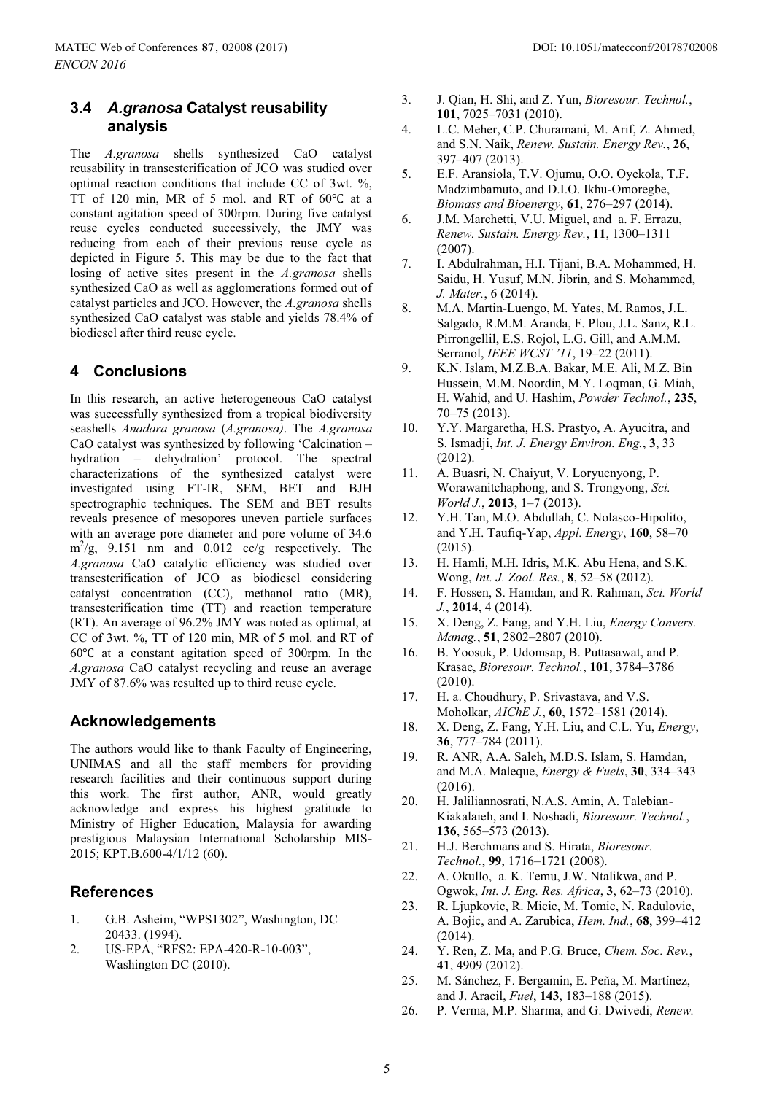#### **3.4** *A.granosa* **Catalyst reusability analysis**

The *A.granosa* shells synthesized CaO catalyst reusability in transesterification of JCO was studied over optimal reaction conditions that include CC of 3wt. %, TT of 120 min, MR of 5 mol. and RT of 60℃ at a constant agitation speed of 300rpm. During five catalyst reuse cycles conducted successively, the JMY was reducing from each of their previous reuse cycle as depicted in Figure 5. This may be due to the fact that losing of active sites present in the *A.granosa* shells synthesized CaO as well as agglomerations formed out of catalyst particles and JCO. However, the *A.granosa* shells synthesized CaO catalyst was stable and yields 78.4% of biodiesel after third reuse cycle.

#### **4 Conclusions**

In this research, an active heterogeneous CaO catalyst was successfully synthesized from a tropical biodiversity seashells *Anadara granosa* (*A.granosa)*. The *A.granosa* CaO catalyst was synthesized by following 'Calcination – hydration – dehydration' protocol. The spectral characterizations of the synthesized catalyst were investigated using FT-IR, SEM, BET and BJH spectrographic techniques. The SEM and BET results reveals presence of mesopores uneven particle surfaces with an average pore diameter and pore volume of 34.6  $\text{m}^2/\text{g}$ , 9.151 nm and 0.012 cc/g respectively. The *A.granosa* CaO catalytic efficiency was studied over transesterification of JCO as biodiesel considering catalyst concentration (CC), methanol ratio (MR), transesterification time (TT) and reaction temperature (RT). An average of 96.2% JMY was noted as optimal, at CC of 3wt. %, TT of 120 min, MR of 5 mol. and RT of 60℃ at a constant agitation speed of 300rpm. In the *A.granosa* CaO catalyst recycling and reuse an average JMY of 87.6% was resulted up to third reuse cycle.

#### **Acknowledgements**

The authors would like to thank Faculty of Engineering, UNIMAS and all the staff members for providing research facilities and their continuous support during this work. The first author, ANR, would greatly acknowledge and express his highest gratitude to Ministry of Higher Education, Malaysia for awarding prestigious Malaysian International Scholarship MIS-2015; KPT.B.600-4/1/12 (60).

#### **References**

- 1. G.B. Asheim, "WPS1302", Washington, DC 20433. (1994).
- 2. US-EPA, "RFS2: EPA-420-R-10-003", Washington DC (2010).
- 3. J. Qian, H. Shi, and Z. Yun, *Bioresour. Technol.*, **101**, 7025–7031 (2010).
- 4. L.C. Meher, C.P. Churamani, M. Arif, Z. Ahmed, and S.N. Naik, *Renew. Sustain. Energy Rev.*, **26**, 397–407 (2013).
- 5. E.F. Aransiola, T.V. Ojumu, O.O. Oyekola, T.F. Madzimbamuto, and D.I.O. Ikhu-Omoregbe, *Biomass and Bioenergy*, **61**, 276–297 (2014).
- 6. J.M. Marchetti, V.U. Miguel, and a. F. Errazu, *Renew. Sustain. Energy Rev.*, **11**, 1300–1311 (2007).
- 7. I. Abdulrahman, H.I. Tijani, B.A. Mohammed, H. Saidu, H. Yusuf, M.N. Jibrin, and S. Mohammed, *J. Mater.*, 6 (2014).
- 8. M.A. Martin-Luengo, M. Yates, M. Ramos, J.L. Salgado, R.M.M. Aranda, F. Plou, J.L. Sanz, R.L. Pirrongellil, E.S. Rojol, L.G. Gill, and A.M.M. Serranol, *IEEE WCST '11*, 19–22 (2011).
- 9. K.N. Islam, M.Z.B.A. Bakar, M.E. Ali, M.Z. Bin Hussein, M.M. Noordin, M.Y. Loqman, G. Miah, H. Wahid, and U. Hashim, *Powder Technol.*, **235**, 70–75 (2013).
- 10. Y.Y. Margaretha, H.S. Prastyo, A. Ayucitra, and S. Ismadji, *Int. J. Energy Environ. Eng.*, **3**, 33 (2012).
- 11. A. Buasri, N. Chaiyut, V. Loryuenyong, P. Worawanitchaphong, and S. Trongyong, *Sci. World J.*, **2013**, 1–7 (2013).
- 12. Y.H. Tan, M.O. Abdullah, C. Nolasco-Hipolito, and Y.H. Taufiq-Yap, *Appl. Energy*, **160**, 58–70 (2015).
- 13. H. Hamli, M.H. Idris, M.K. Abu Hena, and S.K. Wong, *Int. J. Zool. Res.*, **8**, 52–58 (2012).
- 14. F. Hossen, S. Hamdan, and R. Rahman, *Sci. World J.*, **2014**, 4 (2014).
- 15. X. Deng, Z. Fang, and Y.H. Liu, *Energy Convers. Manag.*, **51**, 2802–2807 (2010).
- 16. B. Yoosuk, P. Udomsap, B. Puttasawat, and P. Krasae, *Bioresour. Technol.*, **101**, 3784–3786 (2010).
- 17. H. a. Choudhury, P. Srivastava, and V.S. Moholkar, *AIChE J.*, **60**, 1572–1581 (2014).
- 18. X. Deng, Z. Fang, Y.H. Liu, and C.L. Yu, *Energy*, **36**, 777–784 (2011).
- 19. R. ANR, A.A. Saleh, M.D.S. Islam, S. Hamdan, and M.A. Maleque, *Energy & Fuels*, **30**, 334–343 (2016).
- 20. H. Jaliliannosrati, N.A.S. Amin, A. Talebian-Kiakalaieh, and I. Noshadi, *Bioresour. Technol.*, **136**, 565–573 (2013).
- 21. H.J. Berchmans and S. Hirata, *Bioresour. Technol.*, **99**, 1716–1721 (2008).
- 22. A. Okullo, a. K. Temu, J.W. Ntalikwa, and P. Ogwok, *Int. J. Eng. Res. Africa*, **3**, 62–73 (2010).
- 23. R. Ljupkovic, R. Micic, M. Tomic, N. Radulovic, A. Bojic, and A. Zarubica, *Hem. Ind.*, **68**, 399–412 (2014).
- 24. Y. Ren, Z. Ma, and P.G. Bruce, *Chem. Soc. Rev.*, **41**, 4909 (2012).
- 25. M. Sánchez, F. Bergamin, E. Peña, M. Martínez, and J. Aracil, *Fuel*, **143**, 183–188 (2015).
- 26. P. Verma, M.P. Sharma, and G. Dwivedi, *Renew.*